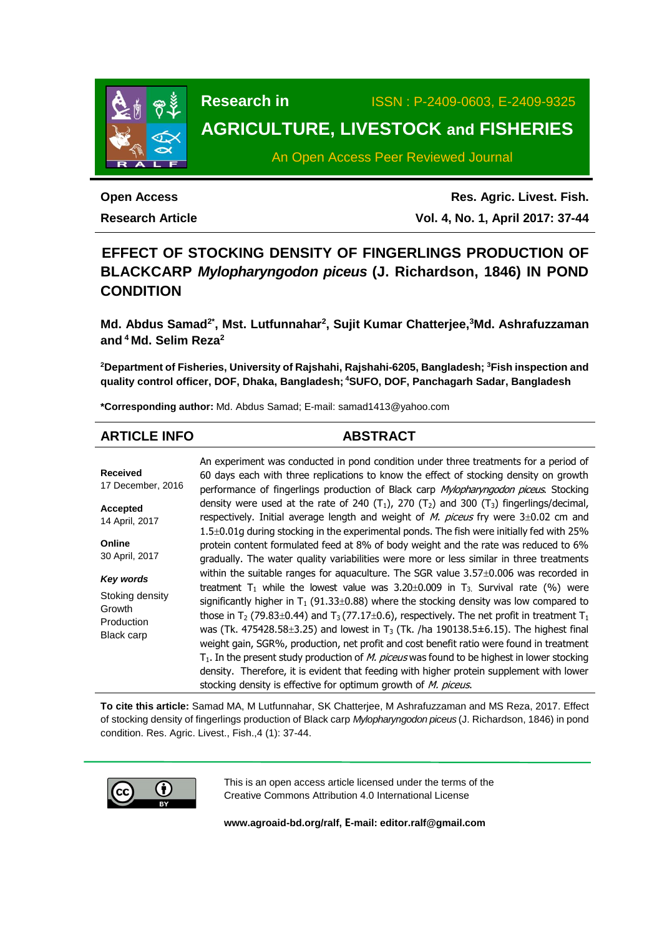

**Research in** ISSN : P-2409-0603, E-2409-9325

# **AGRICULTURE, LIVESTOCK and FISHERIES**

An Open Access Peer Reviewed Journal

# **Open Access**

**Research Article**

**Res. Agric. Livest. Fish. Vol. 4, No. 1, April 2017: 37-44**

# **EFFECT OF STOCKING DENSITY OF FINGERLINGS PRODUCTION OF BLACKCARP** *Mylopharyngodon piceus* **(J. Richardson, 1846) IN POND CONDITION**

**Md. Abdus Samad2\* , Mst. Lutfunnahar<sup>2</sup> , Sujit Kumar Chatterjee,<sup>3</sup>Md. Ashrafuzzaman and <sup>4</sup>Md. Selim Reza<sup>2</sup>**

**<sup>2</sup>Department of Fisheries, University of Rajshahi, Rajshahi-6205, Bangladesh; <sup>3</sup>Fish inspection and quality control officer, DOF, Dhaka, Bangladesh; <sup>4</sup>SUFO, DOF, Panchagarh Sadar, Bangladesh**

**\*Corresponding author:** Md. Abdus Samad; E-mail: [samad1413@yahoo.com](mailto:samad1413@yahoo.com)

# **ARTICLE INFO ABSTRACT**

**Received** 17 December, 2016 **Accepted** 14 April, 2017 **Online** 30 April, 2017 *Key words* Stoking density Growth Production Black carp An experiment was conducted in pond condition under three treatments for a period of 60 days each with three replications to know the effect of stocking density on growth performance of fingerlings production of Black carp Mylopharyngodon piceus. Stocking density were used at the rate of 240 (T<sub>1</sub>), 270 (T<sub>2</sub>) and 300 (T<sub>3</sub>) fingerlings/decimal, respectively. Initial average length and weight of  $M$ . piceus fry were  $3\pm0.02$  cm and  $1.5\pm0.01$ g during stocking in the experimental ponds. The fish were initially fed with 25% protein content formulated feed at 8% of body weight and the rate was reduced to 6% gradually. The water quality variabilities were more or less similar in three treatments within the suitable ranges for aquaculture. The SGR value  $3.57\pm0.006$  was recorded in treatment T<sub>1</sub> while the lowest value was  $3.20 \pm 0.009$  in T<sub>3</sub>. Survival rate (%) were significantly higher in  $T_1$  (91.33 $\pm$ 0.88) where the stocking density was low compared to those in T<sub>2</sub> (79.83 $\pm$ 0.44) and T<sub>3</sub> (77.17 $\pm$ 0.6), respectively. The net profit in treatment T<sub>1</sub> was (Tk. 475428.58 $\pm$ 3.25) and lowest in T<sub>3</sub> (Tk. /ha 190138.5 $\pm$ 6.15). The highest final weight gain, SGR%, production, net profit and cost benefit ratio were found in treatment  $T_1$ . In the present study production of *M. piceus* was found to be highest in lower stocking density. Therefore, it is evident that feeding with higher protein supplement with lower stocking density is effective for optimum growth of M. piceus.

**To cite this article:** Samad MA, M Lutfunnahar, SK Chatterjee, M Ashrafuzzaman and MS Reza, 2017. Effect of stocking density of fingerlings production of Black carp *Mylopharyngodon piceus* (J. Richardson, 1846) in pond condition. Res. Agric. Livest., Fish.,4 (1): 37-44.



This is an open access article licensed under the terms of the Creative Commons Attribution 4.0 International License

**[www.agroaid-bd.org/ralf,](http://www.agroaid-bd.org/ralf) E-mail: [editor.ralf@gmail.com](mailto:editor.ralf@gmail.com)**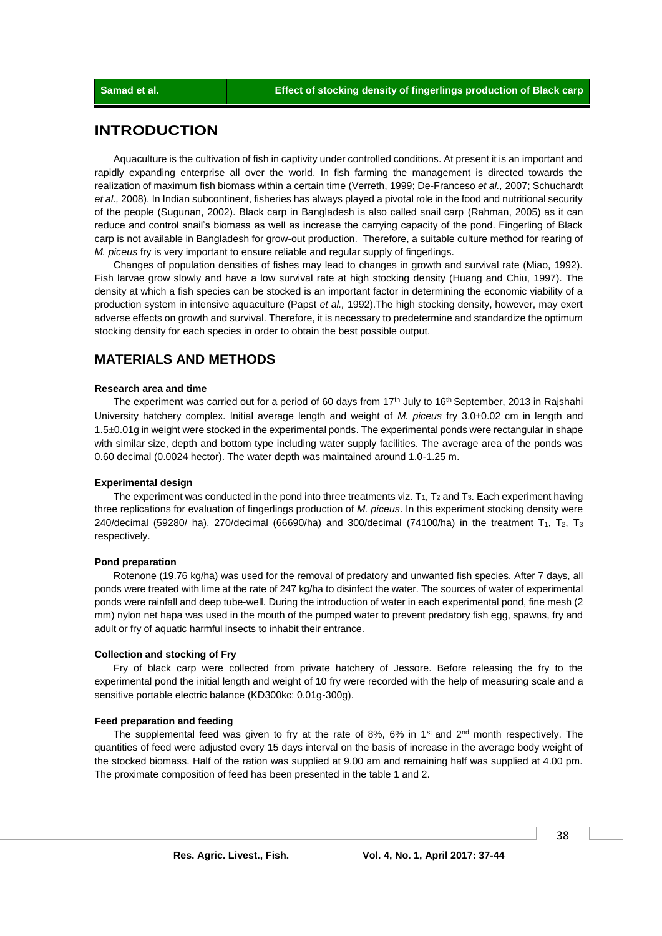# **INTRODUCTION**

Aquaculture is the cultivation of fish in captivity under controlled conditions. At present it is an important and rapidly expanding enterprise all over the world. In fish farming the management is directed towards the realization of maximum fish biomass within a certain time (Verreth, 1999; De-Franceso *et al.,* 2007; Schuchardt *et al.,* 2008). In Indian subcontinent, fisheries has always played a pivotal role in the food and nutritional security of the people (Sugunan, 2002). Black carp in Bangladesh is also called snail carp (Rahman, 2005) as it can reduce and control snail's biomass as well as increase the carrying capacity of the pond. Fingerling of Black carp is not available in Bangladesh for grow-out production. Therefore, a suitable culture method for rearing of *M. piceus* fry is very important to ensure reliable and regular supply of fingerlings.

Changes of population densities of fishes may lead to changes in growth and survival rate (Miao, 1992). Fish larvae grow slowly and have a low survival rate at high stocking density (Huang and Chiu, 1997). The density at which a fish species can be stocked is an important factor in determining the economic viability of a production system in intensive aquaculture (Papst *et al.,* 1992).The high stocking density, however, may exert adverse effects on growth and survival. Therefore, it is necessary to predetermine and standardize the optimum stocking density for each species in order to obtain the best possible output.

# **MATERIALS AND METHODS**

### **Research area and time**

The experiment was carried out for a period of 60 days from  $17<sup>th</sup>$  July to  $16<sup>th</sup>$  September, 2013 in Rajshahi University hatchery complex. Initial average length and weight of *M. piceus* fry 3.0±0.02 cm in length and 1.5±0.01g in weight were stocked in the experimental ponds. The experimental ponds were rectangular in shape with similar size, depth and bottom type including water supply facilities. The average area of the ponds was 0.60 decimal (0.0024 hector). The water depth was maintained around 1.0-1.25 m.

#### **Experimental design**

The experiment was conducted in the pond into three treatments viz.  $T_1$ ,  $T_2$  and  $T_3$ . Each experiment having three replications for evaluation of fingerlings production of *M. piceus*. In this experiment stocking density were 240/decimal (59280/ ha), 270/decimal (66690/ha) and 300/decimal (74100/ha) in the treatment  $T_1$ ,  $T_2$ ,  $T_3$ respectively.

#### **Pond preparation**

Rotenone (19.76 kg/ha) was used for the removal of predatory and unwanted fish species. After 7 days, all ponds were treated with lime at the rate of 247 kg/ha to disinfect the water. The sources of water of experimental ponds were rainfall and deep tube-well. During the introduction of water in each experimental pond, fine mesh (2 mm) nylon net hapa was used in the mouth of the pumped water to prevent predatory fish egg, spawns, fry and adult or fry of aquatic harmful insects to inhabit their entrance.

#### **Collection and stocking of Fry**

Fry of black carp were collected from private hatchery of Jessore. Before releasing the fry to the experimental pond the initial length and weight of 10 fry were recorded with the help of measuring scale and a sensitive portable electric balance (KD300kc: 0.01g-300g).

#### **Feed preparation and feeding**

The supplemental feed was given to fry at the rate of 8%, 6% in 1<sup>st</sup> and 2<sup>nd</sup> month respectively. The quantities of feed were adjusted every 15 days interval on the basis of increase in the average body weight of the stocked biomass. Half of the ration was supplied at 9.00 am and remaining half was supplied at 4.00 pm. The proximate composition of feed has been presented in the table 1 and 2.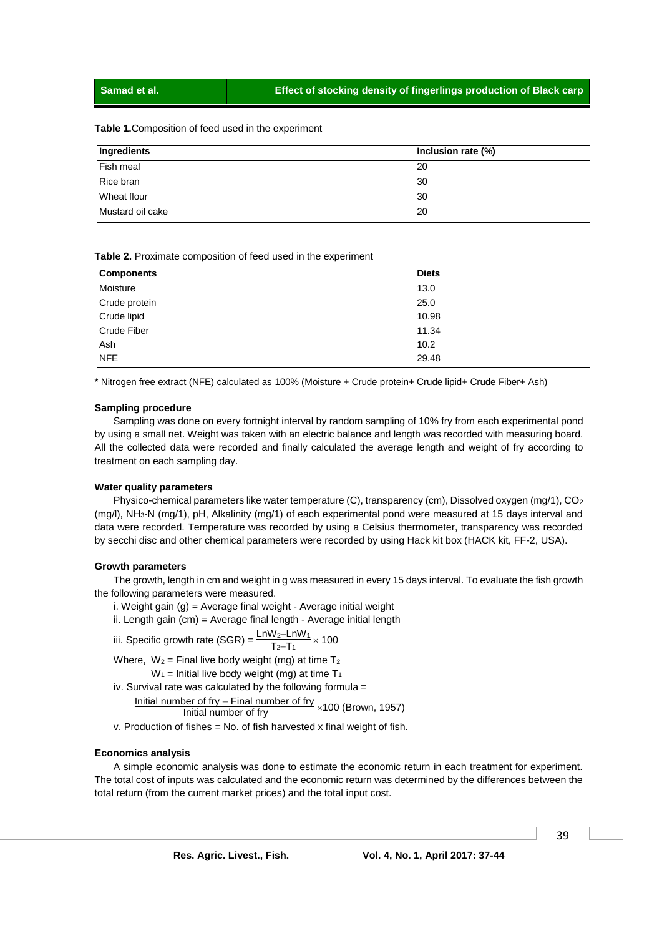#### **Table 1.**Composition of feed used in the experiment

| Ingredients      | Inclusion rate (%) |
|------------------|--------------------|
| Fish meal        | 20                 |
| Rice bran        | 30                 |
| Wheat flour      | 30                 |
| Mustard oil cake | 20                 |

**Table 2.** Proximate composition of feed used in the experiment

| <b>Components</b> | <b>Diets</b> |
|-------------------|--------------|
| Moisture          | 13.0         |
| Crude protein     | 25.0         |
| Crude lipid       | 10.98        |
| Crude Fiber       | 11.34        |
| Ash               | 10.2         |
| <b>NFE</b>        | 29.48        |

\* Nitrogen free extract (NFE) calculated as 100% (Moisture + Crude protein+ Crude lipid+ Crude Fiber+ Ash)

#### **Sampling procedure**

Sampling was done on every fortnight interval by random sampling of 10% fry from each experimental pond by using a small net. Weight was taken with an electric balance and length was recorded with measuring board. All the collected data were recorded and finally calculated the average length and weight of fry according to treatment on each sampling day.

#### **Water quality parameters**

Physico-chemical parameters like water temperature (C), transparency (cm), Dissolved oxygen (mg/1), CO<sup>2</sup> (mg/l), NH3-N (mg/1), pH, Alkalinity (mg/1) of each experimental pond were measured at 15 days interval and data were recorded. Temperature was recorded by using a Celsius thermometer, transparency was recorded by secchi disc and other chemical parameters were recorded by using Hack kit box (HACK kit, FF-2, USA).

#### **Growth parameters**

The growth, length in cm and weight in g was measured in every 15 days interval. To evaluate the fish growth the following parameters were measured.

- i. Weight gain (g) = Average final weight Average initial weight
- ii. Length gain (cm) = Average final length Average initial length

iii. Specific growth rate (SGR) = 
$$
\frac{\text{Ln}W_2 - \text{Ln}W_1}{T_2 - T_1} \times 100
$$

Where,  $W_2$  = Final live body weight (mg) at time  $T_2$  $W_1$  = Initial live body weight (mg) at time  $T_1$ 

iv. Survival rate was calculated by the following formula  $=$ 

Initial number of fry – Final number of fry  $\times$ 100 (Brown, 1957)

v. Production of fishes = No. of fish harvested x final weight of fish.

#### **Economics analysis**

A simple economic analysis was done to estimate the economic return in each treatment for experiment. The total cost of inputs was calculated and the economic return was determined by the differences between the total return (from the current market prices) and the total input cost.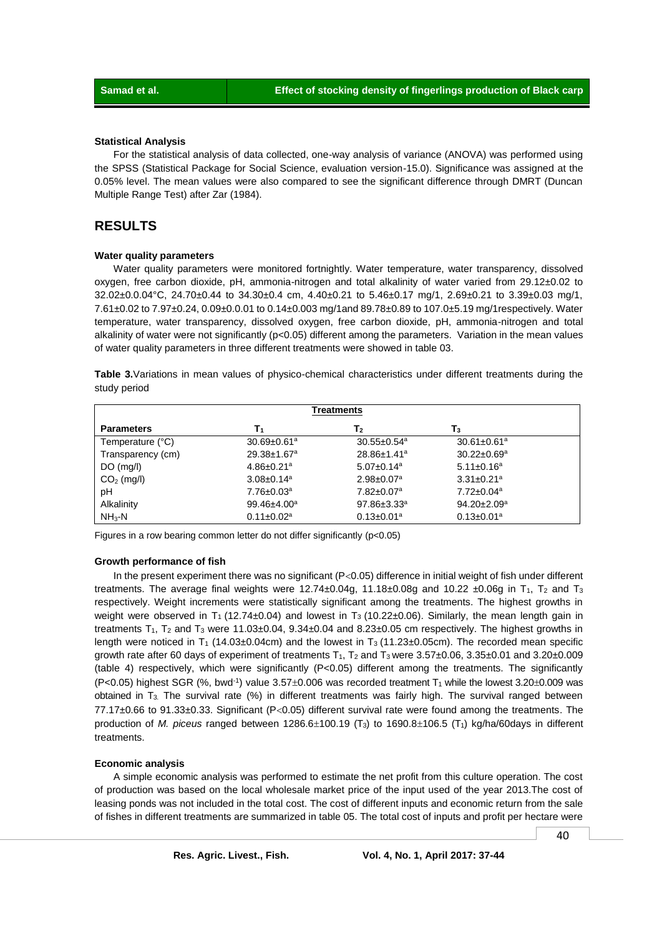#### **Statistical Analysis**

For the statistical analysis of data collected, one-way analysis of variance (ANOVA) was performed using the SPSS (Statistical Package for Social Science, evaluation version-15.0). Significance was assigned at the 0.05% level. The mean values were also compared to see the significant difference through DMRT (Duncan Multiple Range Test) after Zar (1984).

## **RESULTS**

#### **Water quality parameters**

Water quality parameters were monitored fortnightly. Water temperature, water transparency, dissolved oxygen, free carbon dioxide, pH, ammonia-nitrogen and total alkalinity of water varied from 29.12±0.02 to 32.02±0.0.04°C, 24.70±0.44 to 34.30±0.4 cm, 4.40±0.21 to 5.46±0.17 mg/1, 2.69±0.21 to 3.39±0.03 mg/1, 7.61±0.02 to 7.97±0.24, 0.09±0.0.01 to 0.14±0.003 mg/1and 89.78±0.89 to 107.0±5.19 mg/1respectively. Water temperature, water transparency, dissolved oxygen, free carbon dioxide, pH, ammonia-nitrogen and total alkalinity of water were not significantly (p<0.05) different among the parameters. Variation in the mean values of water quality parameters in three different treatments were showed in table 03.

**Table 3.**Variations in mean values of physico-chemical characteristics under different treatments during the study period

| <b>Treatments</b> |                               |                               |                               |
|-------------------|-------------------------------|-------------------------------|-------------------------------|
| <b>Parameters</b> | T1                            | T <sub>2</sub>                | T3                            |
| Temperature (°C)  | $30.69 \pm 0.61$ <sup>a</sup> | $30.55 \pm 0.54$ <sup>a</sup> | $30.61 \pm 0.61^a$            |
| Transparency (cm) | $29.38 \pm 1.67$ <sup>a</sup> | $28.86 \pm 1.41$ <sup>a</sup> | $30.22 \pm 0.69^a$            |
| $DO$ (mg/l)       | $4.86 \pm 0.21$ <sup>a</sup>  | $5.07 \pm 0.14$ <sup>a</sup>  | $5.11 \pm 0.16^a$             |
| $CO2$ (mg/l)      | $3.08 \pm 0.14$ <sup>a</sup>  | $2.98 \pm 0.07$ <sup>a</sup>  | $3.31 \pm 0.21$ <sup>a</sup>  |
| pH                | $7.76 \pm 0.03$ a             | $7.82 \pm 0.07$ <sup>a</sup>  | $7.72 \pm 0.04$ <sup>a</sup>  |
| Alkalinity        | $99.46{\pm}4.00^a$            | $97.86 \pm 3.33$ <sup>a</sup> | $94.20 \pm 2.09$ <sup>a</sup> |
| $NH3-N$           | $0.11 \pm 0.02$ <sup>a</sup>  | $0.13 \pm 0.01$ <sup>a</sup>  | $0.13 \pm 0.01$ <sup>a</sup>  |

Figures in a row bearing common letter do not differ significantly (p<0.05)

#### **Growth performance of fish**

In the present experiment there was no significant ( $P<0.05$ ) difference in initial weight of fish under different treatments. The average final weights were  $12.74\pm0.04g$ ,  $11.18\pm0.08g$  and  $10.22\pm0.06g$  in T<sub>1</sub>, T<sub>2</sub> and T<sub>3</sub> respectively. Weight increments were statistically significant among the treatments. The highest growths in weight were observed in T<sub>1</sub> (12.74±0.04) and lowest in T<sub>3</sub> (10.22±0.06). Similarly, the mean length gain in treatments  $T_1$ ,  $T_2$  and  $T_3$  were 11.03±0.04, 9.34±0.04 and 8.23±0.05 cm respectively. The highest growths in length were noticed in T<sub>1</sub> (14.03±0.04cm) and the lowest in T<sub>3</sub> (11.23±0.05cm). The recorded mean specific growth rate after 60 days of experiment of treatments  $T_1$ ,  $T_2$  and  $T_3$  were  $3.57\pm0.06$ ,  $3.35\pm0.01$  and  $3.20\pm0.009$ (table 4) respectively, which were significantly (P<0.05) different among the treatments. The significantly  $(P<0.05)$  highest SGR (%, bwd<sup>-1</sup>) value  $3.57\pm0.006$  was recorded treatment T<sub>1</sub> while the lowest  $3.20\pm0.009$  was obtained in T<sub>3</sub>. The survival rate (%) in different treatments was fairly high. The survival ranged between  $77.17\pm0.66$  to  $91.33\pm0.33$ . Significant (P<0.05) different survival rate were found among the treatments. The production of *M. piceus* ranged between 1286.6 $\pm$ 100.19 (T<sub>3</sub>) to 1690.8 $\pm$ 106.5 (T<sub>1</sub>) kg/ha/60days in different treatments.

#### **Economic analysis**

A simple economic analysis was performed to estimate the net profit from this culture operation. The cost of production was based on the local wholesale market price of the input used of the year 2013.The cost of leasing ponds was not included in the total cost. The cost of different inputs and economic return from the sale of fishes in different treatments are summarized in table 05. The total cost of inputs and profit per hectare were

40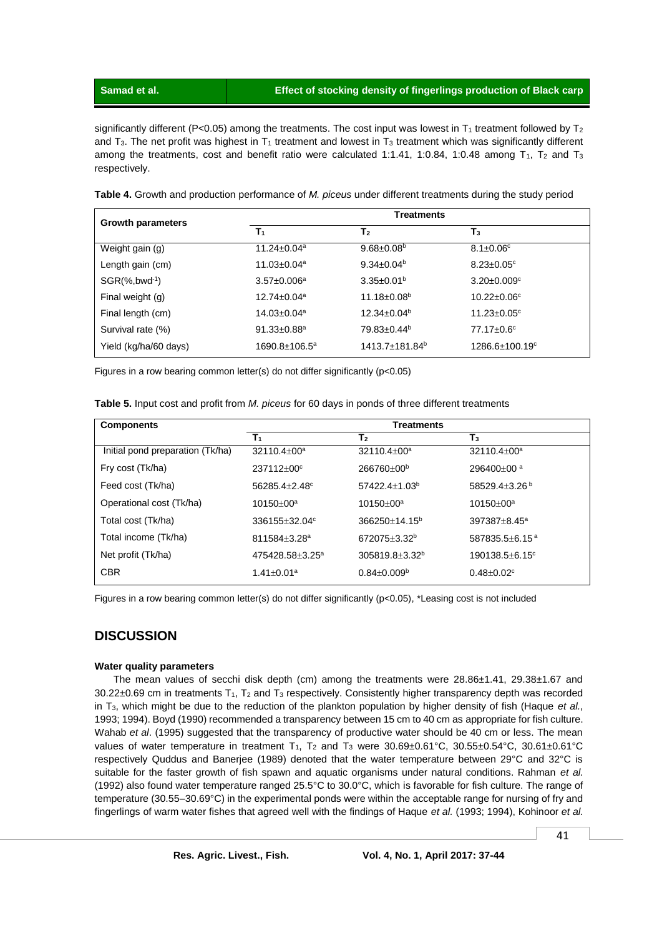**Samad et al. Effect of stocking density of fingerlings production of Black carp**

significantly different (P<0.05) among the treatments. The cost input was lowest in T<sub>1</sub> treatment followed by T<sub>2</sub> and  $T_3$ . The net profit was highest in  $T_1$  treatment and lowest in  $T_3$  treatment which was significantly different among the treatments, cost and benefit ratio were calculated 1:1.41, 1:0.84, 1:0.48 among  $T_1$ ,  $T_2$  and  $T_3$ respectively.

**Table 4.** Growth and production performance of *M. piceus* under different treatments during the study period

| <b>Growth parameters</b>       | <b>Treatments</b>             |                            |                                  |  |
|--------------------------------|-------------------------------|----------------------------|----------------------------------|--|
|                                | $T_1$                         | T <sub>2</sub>             | $T_3$                            |  |
| Weight gain (g)                | $11.24 \pm 0.04$ <sup>a</sup> | $9.68 \pm 0.08^b$          | $8.1 \pm 0.06$ <sup>c</sup>      |  |
| Length gain (cm)               | $11.03 \pm 0.04$ <sup>a</sup> | $9.34 \pm 0.04^b$          | $8.23 \pm 0.05$ °                |  |
| $SGR(\%$ , bwd <sup>-1</sup> ) | $3.57 \pm 0.006^a$            | $3.35 \pm 0.01^b$          | $3.20 \pm 0.009$ <sup>c</sup>    |  |
| Final weight (g)               | $12.74 \pm 0.04$ <sup>a</sup> | 11.18±0.08 <sup>b</sup>    | $10.22 \pm 0.06^{\circ}$         |  |
| Final length (cm)              | $14.03 \pm 0.04$ <sup>a</sup> | $12.34 \pm 0.04^b$         | $11.23 \pm 0.05$ °               |  |
| Survival rate (%)              | $91.33 \pm 0.88$ <sup>a</sup> | 79.83±0.44 <sup>b</sup>    | $77.17 \pm 0.6^{\circ}$          |  |
| Yield (kg/ha/60 days)          | $1690.8 \pm 106.5^a$          | 1413.7±181.84 <sup>b</sup> | $1286.6 \pm 100.19$ <sup>c</sup> |  |

Figures in a row bearing common letter(s) do not differ significantly (p<0.05)

| Table 5. Input cost and profit from M. piceus for 60 days in ponds of three different treatments |  |  |  |  |
|--------------------------------------------------------------------------------------------------|--|--|--|--|
|--------------------------------------------------------------------------------------------------|--|--|--|--|

| <b>Components</b>                | <b>Treatments</b>            |                          |                                |
|----------------------------------|------------------------------|--------------------------|--------------------------------|
|                                  | T <sub>1</sub>               | T,                       | $\mathsf{T}_3$                 |
| Initial pond preparation (Tk/ha) | 32110.4±00 <sup>a</sup>      | 32110.4±00 <sup>a</sup>  | $32110.4 + 00^a$               |
| Fry cost (Tk/ha)                 | 237112±00°                   | 266760±00 <sup>b</sup>   | 296400±00 <sup>a</sup>         |
| Feed cost (Tk/ha)                | 56285.4±2.48 <sup>c</sup>    | $57422.4 + 1.03b$        | 58529.4±3.26 <sup>b</sup>      |
| Operational cost (Tk/ha)         | $10150 + 00a$                | $10150 + 00a$            | $10150 + 00a$                  |
| Total cost (Tk/ha)               | $336155 + 32.04^c$           | $366250 + 14.15^b$       | 397387±8.45ª                   |
| Total income (Tk/ha)             | $811584 + 3.28$ <sup>a</sup> | 672075+3.32 <sup>b</sup> | $587835.5 + 6.15^{\text{a}}$   |
| Net profit (Tk/ha)               | $475428.58 + 3.25^a$         | $305819.8 + 3.32^b$      | $190138.5 + 6.15$ <sup>c</sup> |
| <b>CBR</b>                       | $1.41 \pm 0.01^a$            | $0.84 \pm 0.009^{\rm b}$ | $0.48 \pm 0.02$ <sup>c</sup>   |

Figures in a row bearing common letter(s) do not differ significantly (p<0.05), \*Leasing cost is not included

# **DISCUSSION**

### **Water quality parameters**

The mean values of secchi disk depth (cm) among the treatments were  $28.86\pm1.41$ ,  $29.38\pm1.67$  and 30.22±0.69 cm in treatments T1, T<sup>2</sup> and T<sup>3</sup> respectively. Consistently higher transparency depth was recorded in T3, which might be due to the reduction of the plankton population by higher density of fish (Haque *et al.*, 1993; 1994). Boyd (1990) recommended a transparency between 15 cm to 40 cm as appropriate for fish culture. Wahab *et al*. (1995) suggested that the transparency of productive water should be 40 cm or less. The mean values of water temperature in treatment T<sub>1</sub>, T<sub>2</sub> and T<sub>3</sub> were  $30.69\pm0.61^{\circ}$ C,  $30.55\pm0.54^{\circ}$ C,  $30.61\pm0.61^{\circ}$ C respectively Quddus and Banerjee (1989) denoted that the water temperature between 29°C and 32°C is suitable for the faster growth of fish spawn and aquatic organisms under natural conditions. Rahman *et al.* (1992) also found water temperature ranged 25.5°C to 30.0°C, which is favorable for fish culture. The range of temperature (30.55–30.69°C) in the experimental ponds were within the acceptable range for nursing of fry and fingerlings of warm water fishes that agreed well with the findings of Haque *et al.* (1993; 1994), Kohinoor *et al.*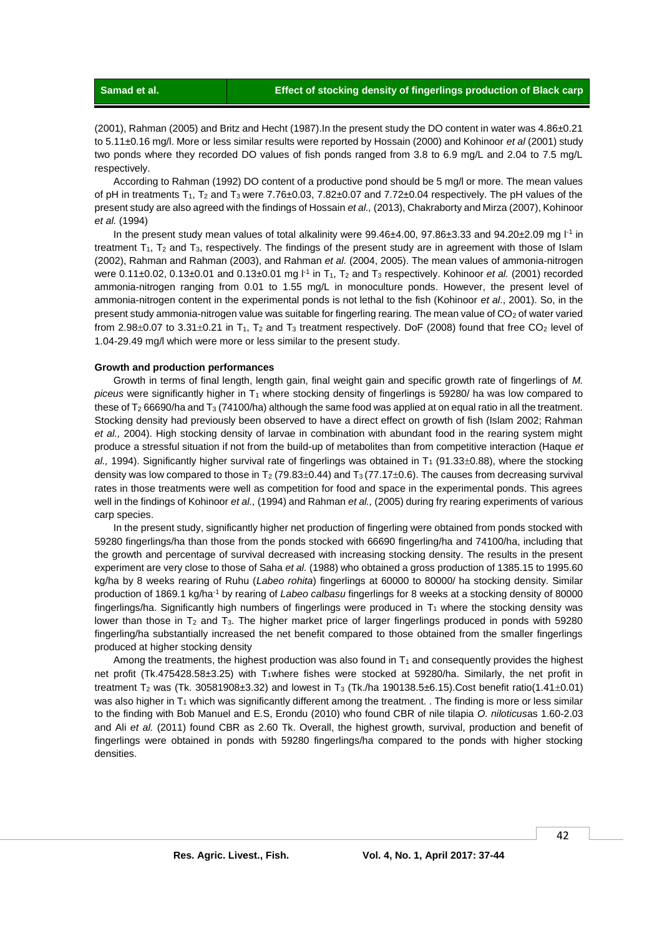(2001), Rahman (2005) and Britz and Hecht (1987).In the present study the DO content in water was 4.86±0.21 to 5.11±0.16 mg/l. More or less similar results were reported by Hossain (2000) and Kohinoor *et al* (2001) study two ponds where they recorded DO values of fish ponds ranged from 3.8 to 6.9 mg/L and 2.04 to 7.5 mg/L respectively.

According to Rahman (1992) DO content of a productive pond should be 5 mg/l or more. The mean values of pH in treatments  $T_1$ ,  $T_2$  and  $T_3$  were 7.76 $\pm$ 0.03, 7.82 $\pm$ 0.07 and 7.72 $\pm$ 0.04 respectively. The pH values of the present study are also agreed with the findings of Hossain *et al.,* (2013), Chakraborty and Mirza (2007), Kohinoor *et al.* (1994)

In the present study mean values of total alkalinity were 99.46±4.00, 97.86±3.33 and 94.20±2.09 mg l<sup>-1</sup> in treatment  $T_1$ ,  $T_2$  and  $T_3$ , respectively. The findings of the present study are in agreement with those of Islam (2002), Rahman and Rahman (2003), and Rahman *et al.* (2004, 2005). The mean values of ammonia-nitrogen were 0.11±0.02, 0.13±0.01 and 0.13±0.01 mg l<sup>-1</sup> in T<sub>1</sub>, T<sub>2</sub> and T<sub>3</sub> respectively. Kohinoor *et al.* (2001) recorded ammonia-nitrogen ranging from 0.01 to 1.55 mg/L in monoculture ponds. However, the present level of ammonia-nitrogen content in the experimental ponds is not lethal to the fish (Kohinoor *et al*., 2001). So, in the present study ammonia-nitrogen value was suitable for fingerling rearing. The mean value of  $CO<sub>2</sub>$  of water varied from 2.98 $\pm$ 0.07 to 3.31 $\pm$ 0.21 in T<sub>1</sub>, T<sub>2</sub> and T<sub>3</sub> treatment respectively. DoF (2008) found that free CO<sub>2</sub> level of 1.04-29.49 mg/l which were more or less similar to the present study.

#### **Growth and production performances**

Growth in terms of final length, length gain, final weight gain and specific growth rate of fingerlings of *M. piceus* were significantly higher in T<sub>1</sub> where stocking density of fingerlings is 59280/ ha was low compared to these of  $T_2$  66690/ha and  $T_3$  (74100/ha) although the same food was applied at on equal ratio in all the treatment. Stocking density had previously been observed to have a direct effect on growth of fish (Islam 2002; Rahman *et al.,* 2004). High stocking density of larvae in combination with abundant food in the rearing system might produce a stressful situation if not from the build-up of metabolites than from competitive interaction (Haque *et*   $al.$ , 1994). Significantly higher survival rate of fingerlings was obtained in  $T_1$  (91.33 $\pm$ 0.88), where the stocking density was low compared to those in  $T_2$  (79.83 $\pm$ 0.44) and  $T_3$  (77.17 $\pm$ 0.6). The causes from decreasing survival rates in those treatments were well as competition for food and space in the experimental ponds. This agrees well in the findings of Kohinoor *et al.,* (1994) and Rahman *et al.,* (2005) during fry rearing experiments of various carp species.

In the present study, significantly higher net production of fingerling were obtained from ponds stocked with 59280 fingerlings/ha than those from the ponds stocked with 66690 fingerling/ha and 74100/ha, including that the growth and percentage of survival decreased with increasing stocking density. The results in the present experiment are very close to those of Saha *et al.* (1988) who obtained a gross production of 1385.15 to 1995.60 kg/ha by 8 weeks rearing of Ruhu (*Labeo rohita*) fingerlings at 60000 to 80000/ ha stocking density. Similar production of 1869.1 kg/ha-1 by rearing of *Labeo calbasu* fingerlings for 8 weeks at a stocking density of 80000 fingerlings/ha. Significantly high numbers of fingerlings were produced in  $T_1$  where the stocking density was lower than those in  $T_2$  and  $T_3$ . The higher market price of larger fingerlings produced in ponds with 59280 fingerling/ha substantially increased the net benefit compared to those obtained from the smaller fingerlings produced at higher stocking density

Among the treatments, the highest production was also found in  $T_1$  and consequently provides the highest net profit (Tk.475428.58±3.25) with T<sub>1</sub>where fishes were stocked at 59280/ha. Similarly, the net profit in treatment T<sub>2</sub> was (Tk. 30581908±3.32) and lowest in T<sub>3</sub> (Tk./ha 190138.5±6.15).Cost benefit ratio(1.41±0.01) was also higher in T<sub>1</sub> which was significantly different among the treatment. . The finding is more or less similar to the finding with Bob Manuel and E.S, Erondu (2010) who found CBR of nile tilapia *O. niloticus*as 1.60-2.03 and Ali *et al.* (2011) found CBR as 2.60 Tk. Overall, the highest growth, survival, production and benefit of fingerlings were obtained in ponds with 59280 fingerlings/ha compared to the ponds with higher stocking densities.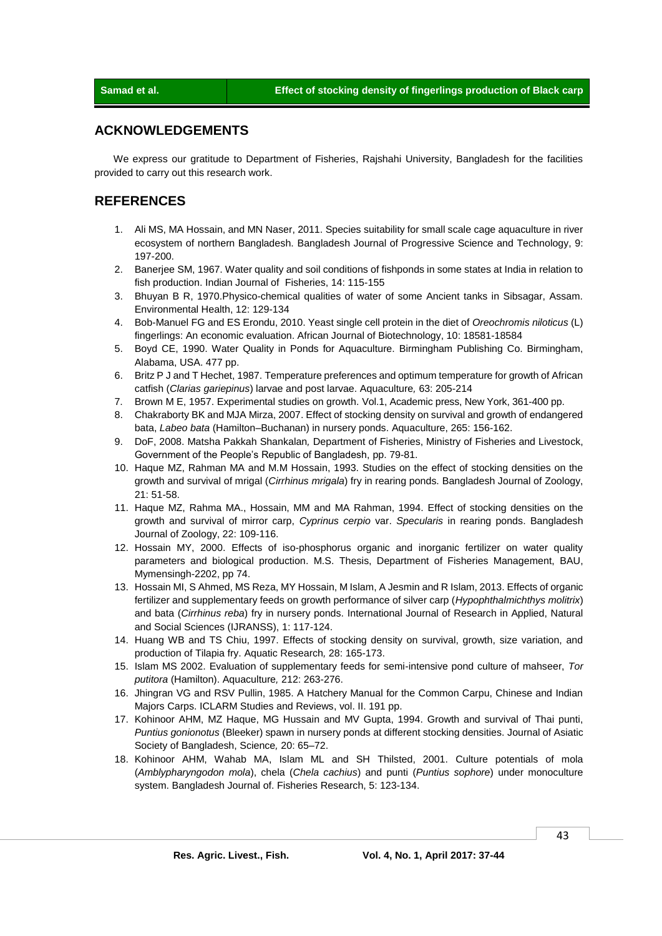## **ACKNOWLEDGEMENTS**

We express our gratitude to Department of Fisheries, Rajshahi University, Bangladesh for the facilities provided to carry out this research work.

## **REFERENCES**

- 1. Ali MS, MA Hossain, and MN Naser, 2011. Species suitability for small scale cage aquaculture in river ecosystem of northern Bangladesh. Bangladesh Journal of Progressive Science and Technology, 9: 197-200.
- 2. Banerjee SM, 1967. Water quality and soil conditions of fishponds in some states at India in relation to fish production. Indian Journal of Fisheries, 14: 115-155
- 3. Bhuyan B R, 1970.Physico-chemical qualities of water of some Ancient tanks in Sibsagar, Assam. Environmental Health, 12: 129-134
- 4. Bob-Manuel FG and ES Erondu, 2010. Yeast single cell protein in the diet of *Oreochromis niloticus* (L) fingerlings: An economic evaluation. African Journal of Biotechnology, 10: 18581-18584
- 5. Boyd CE, 1990. Water Quality in Ponds for Aquaculture. Birmingham Publishing Co. Birmingham, Alabama, USA. 477 pp.
- 6. Britz P J and T Hechet, 1987. Temperature preferences and optimum temperature for growth of African catfish (*Clarias gariepinus*) larvae and post larvae. Aquaculture*,* 63: 205-214
- 7. Brown M E, 1957. Experimental studies on growth. Vol.1, Academic press, New York, 361-400 pp.
- 8. Chakraborty BK and MJA Mirza, 2007. Effect of stocking density on survival and growth of endangered bata, *Labeo bata* (Hamilton–Buchanan) in nursery ponds. Aquaculture, 265: 156-162.
- 9. DoF, 2008. Matsha Pakkah Shankalan*,* Department of Fisheries, Ministry of Fisheries and Livestock, Government of the People's Republic of Bangladesh, pp. 79-81.
- 10. Haque MZ, Rahman MA and M.M Hossain, 1993. Studies on the effect of stocking densities on the growth and survival of mrigal (*Cirrhinus mrigala*) fry in rearing ponds. Bangladesh Journal of Zoology, 21: 51-58.
- 11. Haque MZ, Rahma MA., Hossain, MM and MA Rahman, 1994. Effect of stocking densities on the growth and survival of mirror carp, *Cyprinus cerpio* var. *Specularis* in rearing ponds. Bangladesh Journal of Zoology, 22: 109-116.
- 12. Hossain MY, 2000. Effects of iso-phosphorus organic and inorganic fertilizer on water quality parameters and biological production. M.S. Thesis, Department of Fisheries Management, BAU, Mymensingh-2202, pp 74.
- 13. Hossain MI, S Ahmed, MS Reza, MY Hossain, M Islam, A Jesmin and R Islam, 2013. Effects of organic fertilizer and supplementary feeds on growth performance of silver carp (*Hypophthalmichthys molitrix*) and bata (*Cirrhinus reba*) fry in nursery ponds. International Journal of Research in Applied, Natural and Social Sciences (IJRANSS), 1: 117-124.
- 14. Huang WB and TS Chiu, 1997. Effects of stocking density on survival, growth, size variation, and production of Tilapia fry. Aquatic Research*,* 28: 165-173.
- 15. Islam MS 2002. Evaluation of supplementary feeds for semi-intensive pond culture of mahseer, *Tor putitora* (Hamilton). Aquaculture*,* 212: 263-276.
- 16. Jhingran VG and RSV Pullin, 1985. A Hatchery Manual for the Common Carpu, Chinese and Indian Majors Carps. ICLARM Studies and Reviews, vol. II. 191 pp.
- 17. Kohinoor AHM, MZ Haque, MG Hussain and MV Gupta, 1994. Growth and survival of Thai punti, *Puntius gonionotus* (Bleeker) spawn in nursery ponds at different stocking densities. Journal of Asiatic Society of Bangladesh, Science*,* 20: 65–72.
- 18. Kohinoor AHM, Wahab MA, Islam ML and SH Thilsted, 2001. Culture potentials of mola (*Amblypharyngodon mola*), chela (*Chela cachius*) and punti (*Puntius sophore*) under monoculture system. Bangladesh Journal of. Fisheries Research, 5: 123-134.